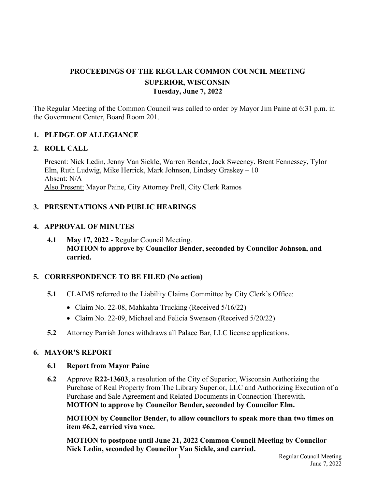# **PROCEEDINGS OF THE REGULAR COMMON COUNCIL MEETING SUPERIOR, WISCONSIN Tuesday, June 7, 2022**

The Regular Meeting of the Common Council was called to order by Mayor Jim Paine at 6:31 p.m. in the Government Center, Board Room 201.

## **1. PLEDGE OF ALLEGIANCE**

### **2. ROLL CALL**

Present: Nick Ledin, Jenny Van Sickle, Warren Bender, Jack Sweeney, Brent Fennessey, Tylor Elm, Ruth Ludwig, Mike Herrick, Mark Johnson, Lindsey Graskey – 10 Absent: N/A Also Present: Mayor Paine, City Attorney Prell, City Clerk Ramos

## **3. PRESENTATIONS AND PUBLIC HEARINGS**

### **4. APPROVAL OF MINUTES**

**4.1 May 17, 2022** - Regular Council Meeting. **MOTION to approve by Councilor Bender, seconded by Councilor Johnson, and carried.**

## **5. CORRESPONDENCE TO BE FILED (No action)**

- **5.1** CLAIMS referred to the Liability Claims Committee by City Clerk's Office:
	- Claim No. 22-08, Mahkahta Trucking (Received 5/16/22)
	- Claim No. 22-09, Michael and Felicia Swenson (Received 5/20/22)
- **5.2** Attorney Parrish Jones withdraws all Palace Bar, LLC license applications.

### **6. MAYOR'S REPORT**

### **6.1 Report from Mayor Paine**

 **6.2** Approve **R22-13603**, a resolution of the City of Superior, Wisconsin Authorizing the Purchase of Real Property from The Library Superior, LLC and Authorizing Execution of a Purchase and Sale Agreement and Related Documents in Connection Therewith. **MOTION to approve by Councilor Bender, seconded by Councilor Elm.**

 **MOTION by Councilor Bender, to allow councilors to speak more than two times on item #6.2, carried viva voce.** 

 **MOTION to postpone until June 21, 2022 Common Council Meeting by Councilor Nick Ledin, seconded by Councilor Van Sickle, and carried.**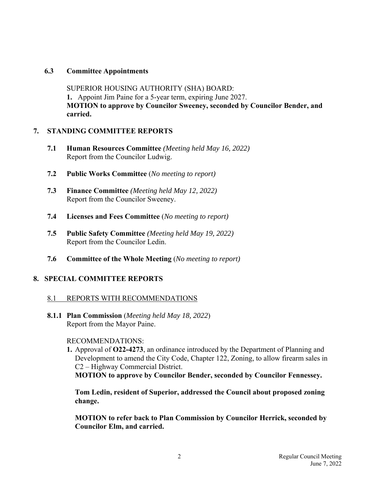## **6.3 Committee Appointments**

SUPERIOR HOUSING AUTHORITY (SHA) BOARD:  **1.** Appoint Jim Paine for a 5-year term, expiring June 2027. **MOTION to approve by Councilor Sweeney, seconded by Councilor Bender, and carried.** 

## **7. STANDING COMMITTEE REPORTS**

- **7.1 Human Resources Committee** *(Meeting held May 16, 2022)* Report from the Councilor Ludwig.
- **7.2 Public Works Committee** (*No meeting to report)*
- **7.3 Finance Committee** *(Meeting held May 12, 2022)* Report from the Councilor Sweeney.
- **7.4 Licenses and Fees Committee** (*No meeting to report)*
- **7.5 Public Safety Committee** *(Meeting held May 19, 2022)* Report from the Councilor Ledin.
- **7.6 Committee of the Whole Meeting** (*No meeting to report)*

## **8. SPECIAL COMMITTEE REPORTS**

## 8.1 REPORTS WITH RECOMMENDATIONS

**8.1.1 Plan Commission** (*Meeting held May 18, 2022*) Report from the Mayor Paine.

## RECOMMENDATIONS:

**1.** Approval of **O22-4273**, an ordinance introduced by the Department of Planning and Development to amend the City Code, Chapter 122, Zoning, to allow firearm sales in C2 – Highway Commercial District.

**MOTION to approve by Councilor Bender, seconded by Councilor Fennessey.**

**Tom Ledin, resident of Superior, addressed the Council about proposed zoning change.**

**MOTION to refer back to Plan Commission by Councilor Herrick, seconded by Councilor Elm, and carried.**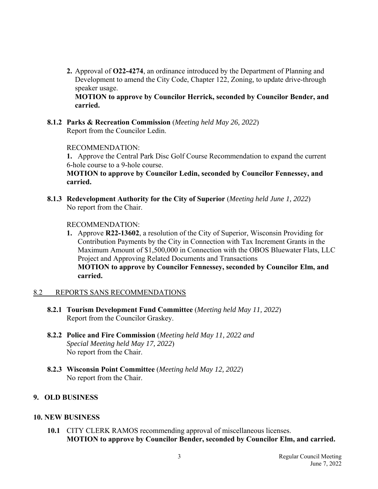**2.** Approval of **O22-4274**, an ordinance introduced by the Department of Planning and Development to amend the City Code, Chapter 122, Zoning, to update drive-through speaker usage.

**MOTION to approve by Councilor Herrick, seconded by Councilor Bender, and carried.**

 **8.1.2 Parks & Recreation Commission** (*Meeting held May 26, 2022*) Report from the Councilor Ledin.

### RECOMMENDATION:

 **1.** Approve the Central Park Disc Golf Course Recommendation to expand the current 6-hole course to a 9-hole course.

**MOTION to approve by Councilor Ledin, seconded by Councilor Fennessey, and carried.**

 **8.1.3 Redevelopment Authority for the City of Superior** (*Meeting held June 1, 2022*) No report from the Chair.

#### RECOMMENDATION:

**1.** Approve **R22-13602**, a resolution of the City of Superior, Wisconsin Providing for Contribution Payments by the City in Connection with Tax Increment Grants in the Maximum Amount of \$1,500,000 in Connection with the OBOS Bluewater Flats, LLC Project and Approving Related Documents and Transactions **MOTION to approve by Councilor Fennessey, seconded by Councilor Elm, and carried.**

### 8.2 REPORTS SANS RECOMMENDATIONS

- **8.2.1 Tourism Development Fund Committee** (*Meeting held May 11, 2022*) Report from the Councilor Graskey.
- **8.2.2 Police and Fire Commission** (*Meeting held May 11, 2022 and Special Meeting held May 17, 2022*) No report from the Chair.
- **8.2.3 Wisconsin Point Committee** (*Meeting held May 12, 2022*) No report from the Chair.

## **9. OLD BUSINESS**

### **10. NEW BUSINESS**

 **10.1** CITY CLERK RAMOS recommending approval of miscellaneous licenses. **MOTION to approve by Councilor Bender, seconded by Councilor Elm, and carried.**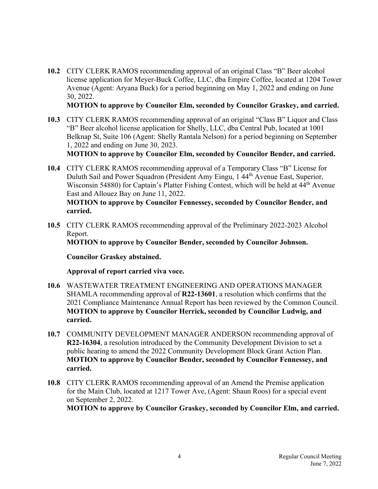**10.2** CITY CLERK RAMOS recommending approval of an original Class "B" Beer alcohol license application for Meyer-Buck Coffee, LLC, dba Empire Coffee, located at 1204 Tower Avenue (Agent: Aryana Buck) for a period beginning on May 1, 2022 and ending on June 30, 2022.

**MOTION to approve by Councilor Elm, seconded by Councilor Graskey, and carried.**

 **10.3** CITY CLERK RAMOS recommending approval of an original "Class B" Liquor and Class "B" Beer alcohol license application for Shelly, LLC, dba Central Pub, located at 1001 Belknap St, Suite 106 (Agent: Shelly Rantala Nelson) for a period beginning on September 1, 2022 and ending on June 30, 2023.

**MOTION to approve by Councilor Elm, seconded by Councilor Bender, and carried.**

- **10.4** CITY CLERK RAMOS recommending approval of a Temporary Class "B" License for Duluth Sail and Power Squadron (President Amy Eingu, 1 44th Avenue East, Superior, Wisconsin 54880) for Captain's Platter Fishing Contest, which will be held at 44<sup>th</sup> Avenue East and Allouez Bay on June 11, 2022. **MOTION to approve by Councilor Fennessey, seconded by Councilor Bender, and carried.**
- **10.5** CITY CLERK RAMOS recommending approval of the Preliminary 2022-2023 Alcohol Report.

**MOTION to approve by Councilor Bender, seconded by Councilor Johnson.** 

 **Councilor Graskey abstained.** 

 **Approval of report carried viva voce.** 

- **10.6** WASTEWATER TREATMENT ENGINEERING AND OPERATIONS MANAGER SHAMLA recommending approval of **R22-13601**, a resolution which confirms that the 2021 Compliance Maintenance Annual Report has been reviewed by the Common Council. **MOTION to approve by Councilor Herrick, seconded by Councilor Ludwig, and carried.**
- **10.7** COMMUNITY DEVELOPMENT MANAGER ANDERSON recommending approval of **R22-16304**, a resolution introduced by the Community Development Division to set a public hearing to amend the 2022 Community Development Block Grant Action Plan. **MOTION to approve by Councilor Bender, seconded by Councilor Fennessey, and carried.**
- **10.8** CITY CLERK RAMOS recommending approval of an Amend the Premise application for the Main Club, located at 1217 Tower Ave, (Agent: Shaun Roos) for a special event on September 2, 2022.

**MOTION to approve by Councilor Graskey, seconded by Councilor Elm, and carried.**